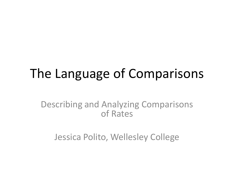## The Language of Comparisons

Describing and Analyzing Comparisons of Rates

Jessica Polito, Wellesley College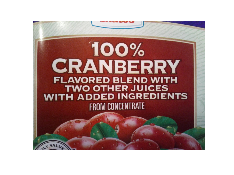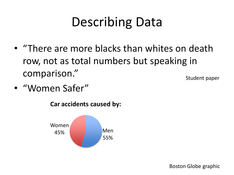# Describing Data

- "There are more blacks than whites on death row, not as total numbers but speaking in comparison."
- "Women Safer"



**Car accidents caused by:**

Student paper

Boston Globe graphic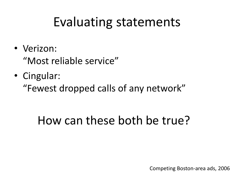### Evaluating statements

- Verizon: "Most reliable service"
- Cingular:

"Fewest dropped calls of any network"

### How can these both be true?

Competing Boston-area ads, 2006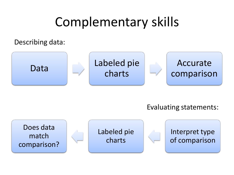# Complementary skills

Describing data:



Evaluating statements:

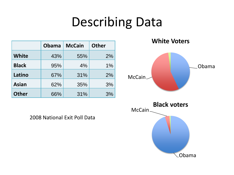# Describing Data

|              | <b>Obama</b> | <b>McCain</b> | <b>Other</b> |
|--------------|--------------|---------------|--------------|
| <b>White</b> | 43%          | 55%           | 2%           |
| <b>Black</b> | 95%          | 4%            | 1%           |
| Latino       | 67%          | 31%           | 2%           |
| <b>Asian</b> | 62%          | 35%           | 3%           |
| <b>Other</b> | 66%          | 31%           | 3%           |

2008 National Exit Poll Data

**White Voters**

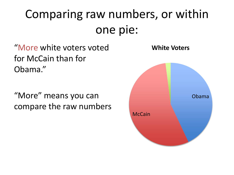# Comparing raw numbers, or within one pie:

"More white voters voted for McCain than for Obama."

"More" means you can compare the raw numbers

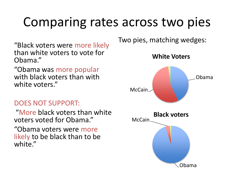## Comparing rates across two pies

"Black voters were more likely than white voters to vote for Obama."

"Obama was more popular with black voters than with white voters."

#### DOES NOT SUPPORT:

"More black voters than white voters voted for Obama."

"Obama voters were more likely to be black than to be white."

Two pies, matching wedges:

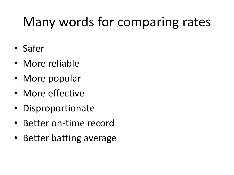# Many words for comparing rates

- Safer
- More reliable
- More popular
- More effective
- Disproportionate
- Better on-time record
- Better batting average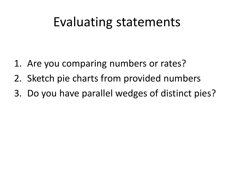### Evaluating statements

- 1. Are you comparing numbers or rates?
- 2. Sketch pie charts from provided numbers
- 3. Do you have parallel wedges of distinct pies?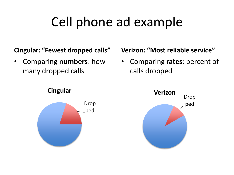# Cell phone ad example

#### **Cingular: "Fewest dropped calls"**

• Comparing **numbers**: how many dropped calls

**Cingular**



#### **Verizon: "Most reliable service"**

• Comparing **rates**: percent of calls dropped

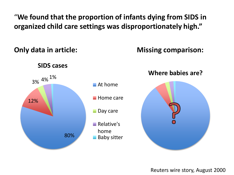"**We found that the proportion of infants dying from SIDS in organized child care settings was disproportionately high."**

**Only data in article:**

**Missing comparison:**

**SIDS cases**



**Where babies are?**



Reuters wire story, August 2000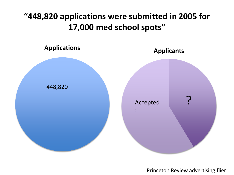### **"448,820 applications were submitted in 2005 for 17,000 med school spots"**



Princeton Review advertising flier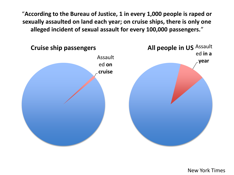"**According to the Bureau of Justice, 1 in every 1,000 people is raped or sexually assaulted on land each year; on cruise ships, there is only one alleged incident of sexual assault for every 100,000 passengers.**"



New York Times